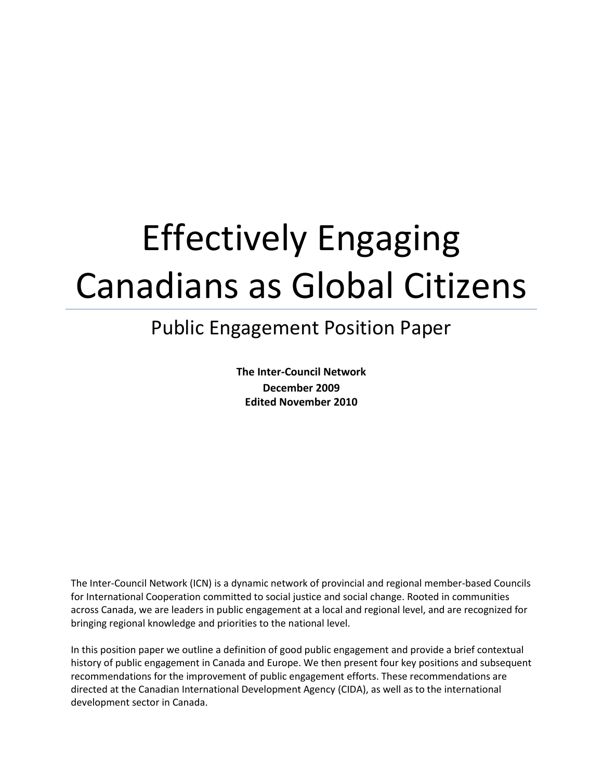# Effectively Engaging Canadians as Global Citizens

# Public Engagement Position Paper

**The Inter-Council Network December 2009 Edited November 2010**

The Inter-Council Network (ICN) is a dynamic network of provincial and regional member-based Councils for International Cooperation committed to social justice and social change. Rooted in communities across Canada, we are leaders in public engagement at a local and regional level, and are recognized for bringing regional knowledge and priorities to the national level.

In this position paper we outline a definition of good public engagement and provide a brief contextual history of public engagement in Canada and Europe. We then present four key positions and subsequent recommendations for the improvement of public engagement efforts. These recommendations are directed at the Canadian International Development Agency (CIDA), as well as to the international development sector in Canada.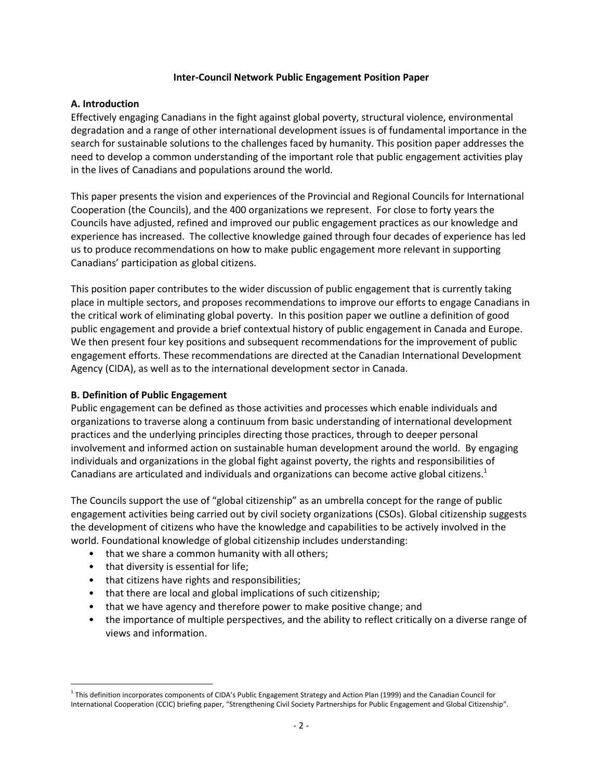#### **Inter-Council Network Public Engagement Position Paper**

#### **A. Introduction**

Effectively engaging Canadians in the fight against global poverty, structural violence, environmental degradation and a range of other international development issues is of fundamental importance in the search for sustainable solutions to the challenges faced by humanity. This position paper addresses the need to develop a common understanding of the important role that public engagement activities play in the lives of Canadians and populations around the world.

This paper presents the vision and experiences of the Provincial and Regional Councils for International Cooperation (the Councils), and the 400 organizations we represent. For close to forty years the Councils have adjusted, refined and improved our public engagement practices as our knowledge and experience has increased. The collective knowledge gained through four decades of experience has led us to produce recommendations on how to make public engagement more relevant in supporting Canadians' participation as global citizens.

This position paper contributes to the wider discussion of public engagement that is currently taking place in multiple sectors, and proposes recommendations to improve our efforts to engage Canadians in the critical work of eliminating global poverty. In this position paper we outline a definition of good public engagement and provide a brief contextual history of public engagement in Canada and Europe. We then present four key positions and subsequent recommendations for the improvement of public engagement efforts. These recommendations are directed at the Canadian International Development Agency (CIDA), as well as to the international development sector in Canada.

#### **B. Definition of Public Engagement**

Public engagement can be defined as those activities and processes which enable individuals and organizations to traverse along a continuum from basic understanding of international development practices and the underlying principles directing those practices, through to deeper personal involvement and informed action on sustainable human development around the world. By engaging individuals and organizations in the global fight against poverty, the rights and responsibilities of Canadians are articulated and individuals and organizations can become active global citizens. $1$ 

The Councils support the use of "global citizenship" as an umbrella concept for the range of public engagement activities being carried out by civil society organizations (CSOs). Global citizenship suggests the development of citizens who have the knowledge and capabilities to be actively involved in the world. Foundational knowledge of global citizenship includes understanding:

- that we share a common humanity with all others;
- that diversity is essential for life;

 $\overline{a}$ 

- that citizens have rights and responsibilities;
- that there are local and global implications of such citizenship;
- that we have agency and therefore power to make positive change; and
- the importance of multiple perspectives, and the ability to reflect critically on a diverse range of views and information.

<sup>&</sup>lt;sup>1</sup> This definition incorporates components of CIDA's Public Engagement Strategy and Action Plan (1999) and the Canadian Council for International Cooperation (CCIC) briefing paper, "Strengthening Civil Society Partnerships for Public Engagement and Global Citizenship".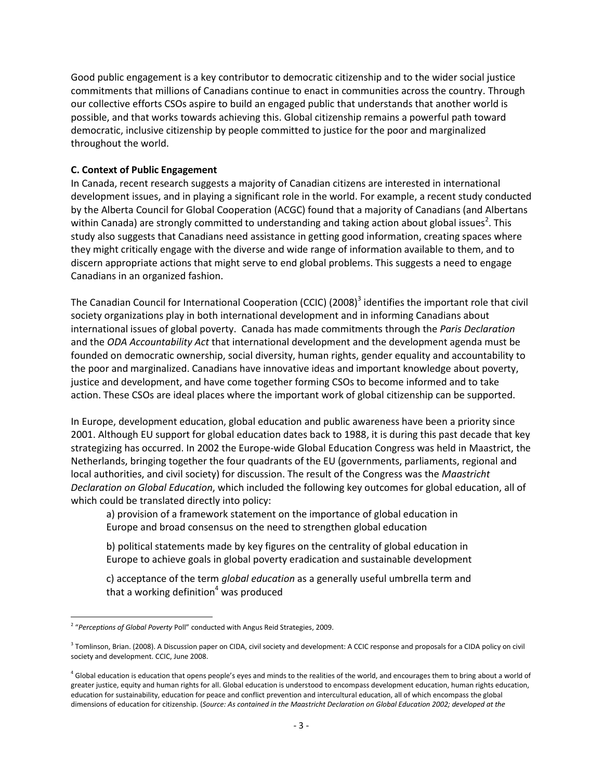Good public engagement is a key contributor to democratic citizenship and to the wider social justice commitments that millions of Canadians continue to enact in communities across the country. Through our collective efforts CSOs aspire to build an engaged public that understands that another world is possible, and that works towards achieving this. Global citizenship remains a powerful path toward democratic, inclusive citizenship by people committed to justice for the poor and marginalized throughout the world.

#### **C. Context of Public Engagement**

In Canada, recent research suggests a majority of Canadian citizens are interested in international development issues, and in playing a significant role in the world. For example, a recent study conducted by the Alberta Council for Global Cooperation (ACGC) found that a majority of Canadians (and Albertans within Canada) are strongly committed to understanding and taking action about global issues<sup>2</sup>. This study also suggests that Canadians need assistance in getting good information, creating spaces where they might critically engage with the diverse and wide range of information available to them, and to discern appropriate actions that might serve to end global problems. This suggests a need to engage Canadians in an organized fashion.

The Canadian Council for International Cooperation (CCIC) (2008)<sup>3</sup> identifies the important role that civil society organizations play in both international development and in informing Canadians about international issues of global poverty. Canada has made commitments through the *Paris Declaration* and the *ODA Accountability Act* that international development and the development agenda must be founded on democratic ownership, social diversity, human rights, gender equality and accountability to the poor and marginalized. Canadians have innovative ideas and important knowledge about poverty, justice and development, and have come together forming CSOs to become informed and to take action. These CSOs are ideal places where the important work of global citizenship can be supported.

In Europe, development education, global education and public awareness have been a priority since 2001. Although EU support for global education dates back to 1988, it is during this past decade that key strategizing has occurred. In 2002 the Europe-wide Global Education Congress was held in Maastrict, the Netherlands, bringing together the four quadrants of the EU (governments, parliaments, regional and local authorities, and civil society) for discussion. The result of the Congress was the *Maastricht Declaration on Global Education*, which included the following key outcomes for global education, all of which could be translated directly into policy:

a) provision of a framework statement on the importance of global education in Europe and broad consensus on the need to strengthen global education

b) political statements made by key figures on the centrality of global education in Europe to achieve goals in global poverty eradication and sustainable development

c) acceptance of the term *global education* as a generally useful umbrella term and that a working definition<sup>4</sup> was produced

 $\overline{a}$ 

<sup>&</sup>lt;sup>2</sup> "Perceptions of Global Poverty Poll" conducted with Angus Reid Strategies, 2009.

 $^3$  Tomlinson, Brian. (2008). A Discussion paper on CIDA, civil society and development: A CCIC response and proposals for a CIDA policy on civil society and development. CCIC, June 2008.

<sup>&</sup>lt;sup>4</sup> Global education is education that opens people's eyes and minds to the realities of the world, and encourages them to bring about a world of greater justice, equity and human rights for all. Global education is understood to encompass development education, human rights education, education for sustainability, education for peace and conflict prevention and intercultural education, all of which encompass the global dimensions of education for citizenship. (*Source: As contained in the Maastricht Declaration on Global Education 2002; developed at the*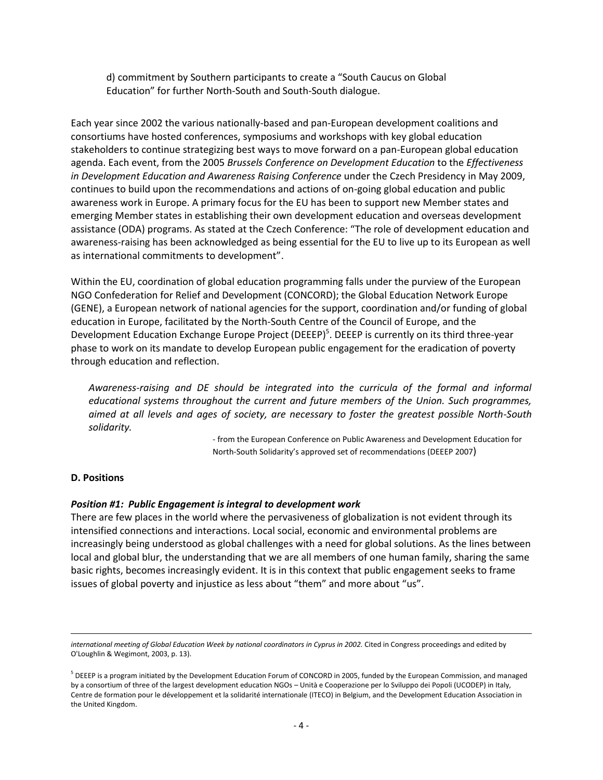d) commitment by Southern participants to create a "South Caucus on Global Education" for further North-South and South-South dialogue.

Each year since 2002 the various nationally-based and pan-European development coalitions and consortiums have hosted conferences, symposiums and workshops with key global education stakeholders to continue strategizing best ways to move forward on a pan-European global education agenda. Each event, from the 2005 *Brussels Conference on Development Education* to the *Effectiveness in Development Education and Awareness Raising Conference* under the Czech Presidency in May 2009, continues to build upon the recommendations and actions of on-going global education and public awareness work in Europe. A primary focus for the EU has been to support new Member states and emerging Member states in establishing their own development education and overseas development assistance (ODA) programs. As stated at the Czech Conference: "The role of development education and awareness-raising has been acknowledged as being essential for the EU to live up to its European as well as international commitments to development".

Within the EU, coordination of global education programming falls under the purview of the European NGO Confederation for Relief and Development (CONCORD); the Global Education Network Europe (GENE), a European network of national agencies for the support, coordination and/or funding of global education in Europe, facilitated by the North-South Centre of the Council of Europe, and the Development Education Exchange Europe Project (DEEEP)<sup>5</sup>. DEEEP is currently on its third three-year phase to work on its mandate to develop European public engagement for the eradication of poverty through education and reflection.

*Awareness-raising and DE should be integrated into the curricula of the formal and informal educational systems throughout the current and future members of the Union. Such programmes, aimed at all levels and ages of society, are necessary to foster the greatest possible North-South solidarity.*

> - from the European Conference on Public Awareness and Development Education for North-South Solidarity's approved set of recommendations (DEEEP 2007)

#### **D. Positions**

 $\overline{a}$ 

#### *Position #1: Public Engagement is integral to development work*

There are few places in the world where the pervasiveness of globalization is not evident through its intensified connections and interactions. Local social, economic and environmental problems are increasingly being understood as global challenges with a need for global solutions. As the lines between local and global blur, the understanding that we are all members of one human family, sharing the same basic rights, becomes increasingly evident. It is in this context that public engagement seeks to frame issues of global poverty and injustice as less about "them" and more about "us".

*international meeting of Global Education Week by national coordinators in Cyprus in 2002.* Cited in Congress proceedings and edited by O'Loughlin & Wegimont, 2003, p. 13).

<sup>&</sup>lt;sup>5</sup> DEEEP is a program initiated by the Development Education Forum of CONCORD in 2005, funded by the European Commission, and managed by a consortium of three of the largest development education NGOs – Unità e Cooperazione per lo Sviluppo dei Popoli (UCODEP) in Italy, Centre de formation pour le développement et la solidarité internationale (ITECO) in Belgium, and the Development Education Association in the United Kingdom.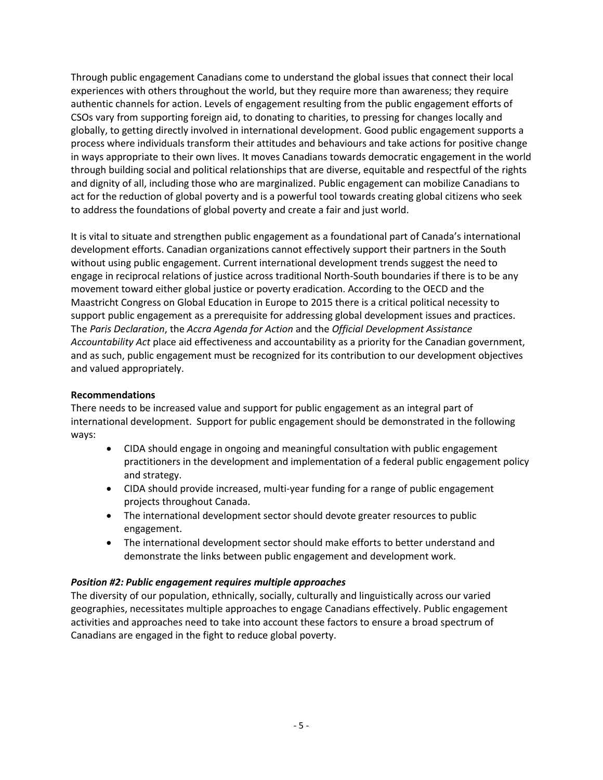Through public engagement Canadians come to understand the global issues that connect their local experiences with others throughout the world, but they require more than awareness; they require authentic channels for action. Levels of engagement resulting from the public engagement efforts of CSOs vary from supporting foreign aid, to donating to charities, to pressing for changes locally and globally, to getting directly involved in international development. Good public engagement supports a process where individuals transform their attitudes and behaviours and take actions for positive change in ways appropriate to their own lives. It moves Canadians towards democratic engagement in the world through building social and political relationships that are diverse, equitable and respectful of the rights and dignity of all, including those who are marginalized. Public engagement can mobilize Canadians to act for the reduction of global poverty and is a powerful tool towards creating global citizens who seek to address the foundations of global poverty and create a fair and just world.

It is vital to situate and strengthen public engagement as a foundational part of Canada's international development efforts. Canadian organizations cannot effectively support their partners in the South without using public engagement. Current international development trends suggest the need to engage in reciprocal relations of justice across traditional North-South boundaries if there is to be any movement toward either global justice or poverty eradication. According to the OECD and the Maastricht Congress on Global Education in Europe to 2015 there is a critical political necessity to support public engagement as a prerequisite for addressing global development issues and practices. The *Paris Declaration*, the *Accra Agenda for Action* and the *Official Development Assistance Accountability Act* place aid effectiveness and accountability as a priority for the Canadian government, and as such, public engagement must be recognized for its contribution to our development objectives and valued appropriately.

#### **Recommendations**

There needs to be increased value and support for public engagement as an integral part of international development. Support for public engagement should be demonstrated in the following ways:

- CIDA should engage in ongoing and meaningful consultation with public engagement practitioners in the development and implementation of a federal public engagement policy and strategy.
- CIDA should provide increased, multi-year funding for a range of public engagement projects throughout Canada.
- The international development sector should devote greater resources to public engagement.
- The international development sector should make efforts to better understand and demonstrate the links between public engagement and development work.

#### *Position #2: Public engagement requires multiple approaches*

The diversity of our population, ethnically, socially, culturally and linguistically across our varied geographies, necessitates multiple approaches to engage Canadians effectively. Public engagement activities and approaches need to take into account these factors to ensure a broad spectrum of Canadians are engaged in the fight to reduce global poverty.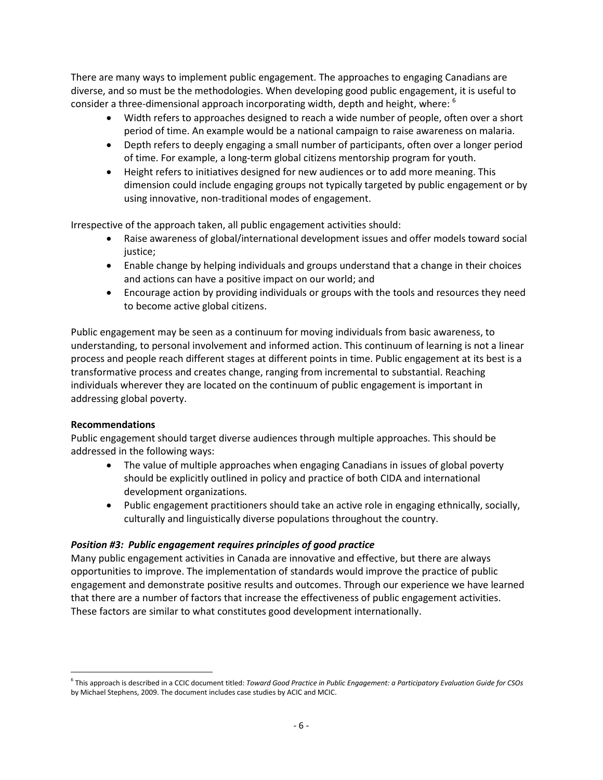There are many ways to implement public engagement. The approaches to engaging Canadians are diverse, and so must be the methodologies. When developing good public engagement, it is useful to consider a three-dimensional approach incorporating width, depth and height, where: <sup>6</sup>

- Width refers to approaches designed to reach a wide number of people, often over a short period of time. An example would be a national campaign to raise awareness on malaria.
- Depth refers to deeply engaging a small number of participants, often over a longer period of time. For example, a long-term global citizens mentorship program for youth.
- Height refers to initiatives designed for new audiences or to add more meaning. This dimension could include engaging groups not typically targeted by public engagement or by using innovative, non-traditional modes of engagement.

Irrespective of the approach taken, all public engagement activities should:

- Raise awareness of global/international development issues and offer models toward social justice;
- Enable change by helping individuals and groups understand that a change in their choices and actions can have a positive impact on our world; and
- Encourage action by providing individuals or groups with the tools and resources they need to become active global citizens.

Public engagement may be seen as a continuum for moving individuals from basic awareness, to understanding, to personal involvement and informed action. This continuum of learning is not a linear process and people reach different stages at different points in time. Public engagement at its best is a transformative process and creates change, ranging from incremental to substantial. Reaching individuals wherever they are located on the continuum of public engagement is important in addressing global poverty.

#### **Recommendations**

 $\overline{a}$ 

Public engagement should target diverse audiences through multiple approaches. This should be addressed in the following ways:

- The value of multiple approaches when engaging Canadians in issues of global poverty should be explicitly outlined in policy and practice of both CIDA and international development organizations.
- Public engagement practitioners should take an active role in engaging ethnically, socially, culturally and linguistically diverse populations throughout the country.

#### *Position #3: Public engagement requires principles of good practice*

Many public engagement activities in Canada are innovative and effective, but there are always opportunities to improve. The implementation of standards would improve the practice of public engagement and demonstrate positive results and outcomes. Through our experience we have learned that there are a number of factors that increase the effectiveness of public engagement activities. These factors are similar to what constitutes good development internationally.

<sup>6</sup> This approach is described in a CCIC document titled: *Toward Good Practice in Public Engagement: a Participatory Evaluation Guide for CSOs* by Michael Stephens, 2009. The document includes case studies by ACIC and MCIC.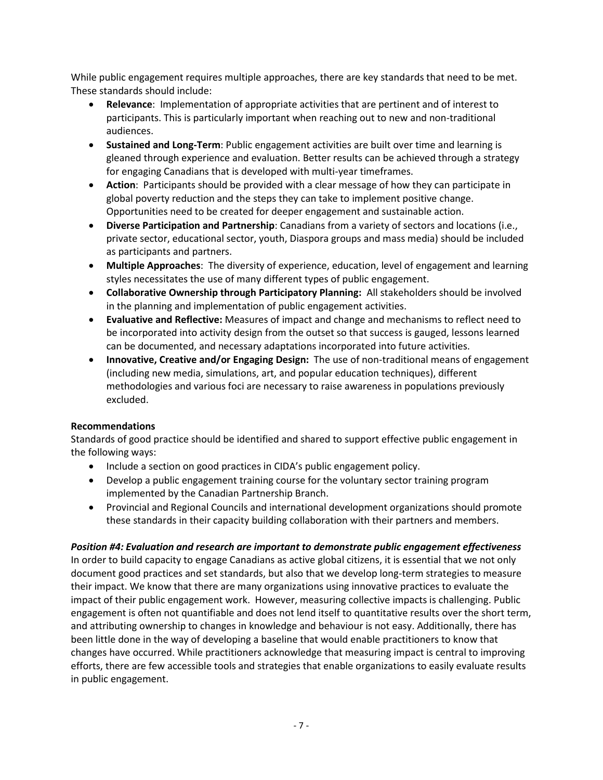While public engagement requires multiple approaches, there are key standards that need to be met. These standards should include:

- **Relevance**: Implementation of appropriate activities that are pertinent and of interest to participants. This is particularly important when reaching out to new and non-traditional audiences.
- **Sustained and Long-Term**: Public engagement activities are built over time and learning is gleaned through experience and evaluation. Better results can be achieved through a strategy for engaging Canadians that is developed with multi-year timeframes.
- **Action**: Participants should be provided with a clear message of how they can participate in global poverty reduction and the steps they can take to implement positive change. Opportunities need to be created for deeper engagement and sustainable action.
- **Diverse Participation and Partnership**: Canadians from a variety of sectors and locations (i.e., private sector, educational sector, youth, Diaspora groups and mass media) should be included as participants and partners.
- **Multiple Approaches**: The diversity of experience, education, level of engagement and learning styles necessitates the use of many different types of public engagement.
- **Collaborative Ownership through Participatory Planning:** All stakeholders should be involved in the planning and implementation of public engagement activities.
- **Evaluative and Reflective:** Measures of impact and change and mechanisms to reflect need to be incorporated into activity design from the outset so that success is gauged, lessons learned can be documented, and necessary adaptations incorporated into future activities.
- **Innovative, Creative and/or Engaging Design:** The use of non-traditional means of engagement (including new media, simulations, art, and popular education techniques), different methodologies and various foci are necessary to raise awareness in populations previously excluded.

# **Recommendations**

Standards of good practice should be identified and shared to support effective public engagement in the following ways:

- Include a section on good practices in CIDA's public engagement policy.
- Develop a public engagement training course for the voluntary sector training program implemented by the Canadian Partnership Branch.
- Provincial and Regional Councils and international development organizations should promote these standards in their capacity building collaboration with their partners and members.

# *Position #4: Evaluation and research are important to demonstrate public engagement effectiveness*

In order to build capacity to engage Canadians as active global citizens, it is essential that we not only document good practices and set standards, but also that we develop long-term strategies to measure their impact. We know that there are many organizations using innovative practices to evaluate the impact of their public engagement work. However, measuring collective impacts is challenging. Public engagement is often not quantifiable and does not lend itself to quantitative results over the short term, and attributing ownership to changes in knowledge and behaviour is not easy. Additionally, there has been little done in the way of developing a baseline that would enable practitioners to know that changes have occurred. While practitioners acknowledge that measuring impact is central to improving efforts, there are few accessible tools and strategies that enable organizations to easily evaluate results in public engagement.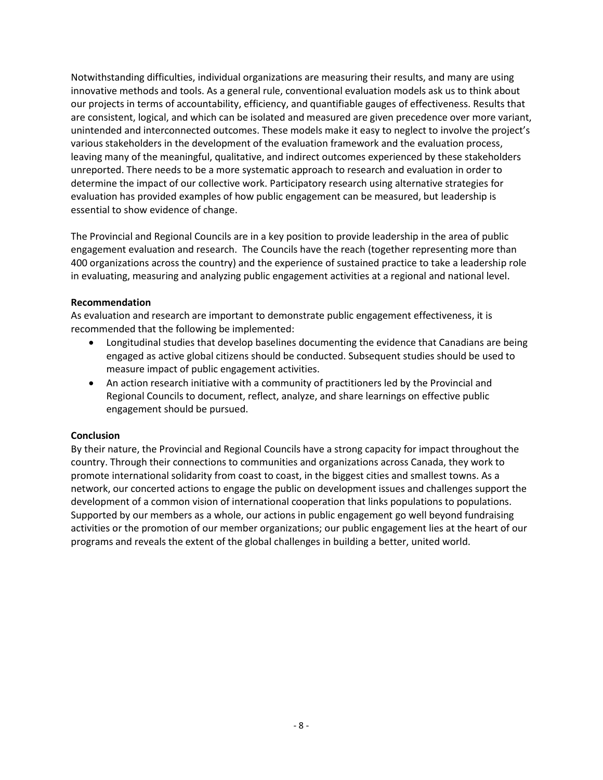Notwithstanding difficulties, individual organizations are measuring their results, and many are using innovative methods and tools. As a general rule, conventional evaluation models ask us to think about our projects in terms of accountability, efficiency, and quantifiable gauges of effectiveness. Results that are consistent, logical, and which can be isolated and measured are given precedence over more variant, unintended and interconnected outcomes. These models make it easy to neglect to involve the project's various stakeholders in the development of the evaluation framework and the evaluation process, leaving many of the meaningful, qualitative, and indirect outcomes experienced by these stakeholders unreported. There needs to be a more systematic approach to research and evaluation in order to determine the impact of our collective work. Participatory research using alternative strategies for evaluation has provided examples of how public engagement can be measured, but leadership is essential to show evidence of change.

The Provincial and Regional Councils are in a key position to provide leadership in the area of public engagement evaluation and research. The Councils have the reach (together representing more than 400 organizations across the country) and the experience of sustained practice to take a leadership role in evaluating, measuring and analyzing public engagement activities at a regional and national level.

#### **Recommendation**

As evaluation and research are important to demonstrate public engagement effectiveness, it is recommended that the following be implemented:

- Longitudinal studies that develop baselines documenting the evidence that Canadians are being engaged as active global citizens should be conducted. Subsequent studies should be used to measure impact of public engagement activities.
- An action research initiative with a community of practitioners led by the Provincial and Regional Councils to document, reflect, analyze, and share learnings on effective public engagement should be pursued.

# **Conclusion**

By their nature, the Provincial and Regional Councils have a strong capacity for impact throughout the country. Through their connections to communities and organizations across Canada, they work to promote international solidarity from coast to coast, in the biggest cities and smallest towns. As a network, our concerted actions to engage the public on development issues and challenges support the development of a common vision of international cooperation that links populations to populations. Supported by our members as a whole, our actions in public engagement go well beyond fundraising activities or the promotion of our member organizations; our public engagement lies at the heart of our programs and reveals the extent of the global challenges in building a better, united world.